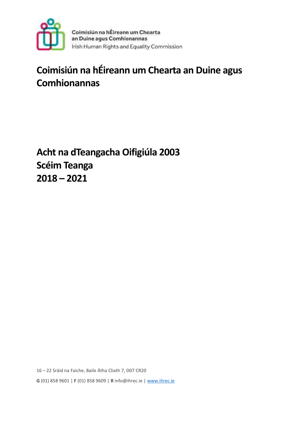

# **Coimisiún na hÉireann um Chearta an Duine agus Comhionannas**

**Acht na dTeangacha Oifigiúla 2003 Scéim Teanga 2018 – 2021**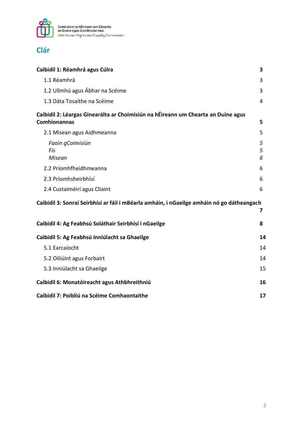

### **Clár**

| Caibidil 1: Réamhrá agus Cúlra                                                                           | 3           |
|----------------------------------------------------------------------------------------------------------|-------------|
| 1.1 Réamhrá                                                                                              | 3           |
| 1.2 Ullmhú agus Ábhar na Scéime                                                                          | 3           |
| 1.3 Dáta Tosaithe na Scéime                                                                              | 4           |
| Caibidil 2: Léargas Ginearálta ar Choimisiún na hÉireann um Chearta an Duine agus<br><b>Comhionannas</b> | 5           |
| 2.1 Misean agus Aidhmeanna                                                                               | 5           |
| Faoin gCoimisiún<br>Fís<br><b>Misean</b>                                                                 | 5<br>5<br>6 |
| 2.2 Príomhfheidhmeanna                                                                                   | 6           |
| 2.3 Príomhsheirbhísí                                                                                     | 6           |
| 2.4 Custaiméirí agus Cliaint                                                                             | 6           |
| Caibidil 3: Sonraí Seirbhísí ar fáil i mBéarla amháin, i nGaeilge amháin nó go dátheangach               | 7           |
| Caibidil 4: Ag Feabhsú Soláthair Seirbhísí i nGaeilge                                                    | 8           |
| Caibidil 5: Ag Feabhsú Inniúlacht sa Ghaeilge                                                            | 14          |
| 5.1 Earcaíocht                                                                                           | 14          |
| 5.2 Oiliúint agus Forbairt                                                                               | 14          |
| 5.3 Inniúlacht sa Ghaeilge                                                                               | 15          |
| Caibidil 6: Monatóireacht agus Athbhreithniú                                                             | 16          |
| Caibidil 7: Poibliú na Scéime Comhaontaithe                                                              | 17          |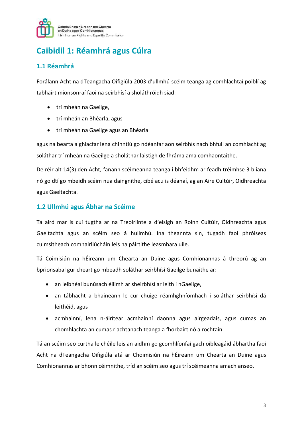

# **Caibidil 1: Réamhrá agus Cúlra**

### **1.1 Réamhrá**

Forálann Acht na dTeangacha Oifigiúla 2003 d'ullmhú scéim teanga ag comhlachtaí poiblí ag tabhairt mionsonraí faoi na seirbhísí a sholáthróidh siad:

- trí mheán na Gaeilge,
- trí mheán an Bhéarla, agus
- trí mheán na Gaeilge agus an Bhéarla

agus na bearta a ghlacfar lena chinntiú go ndéanfar aon seirbhís nach bhfuil an comhlacht ag soláthar trí mheán na Gaeilge a sholáthar laistigh de fhráma ama comhaontaithe.

De réir alt 14(3) den Acht, fanann scéimeanna teanga i bhfeidhm ar feadh tréimhse 3 bliana nó go dtí go mbeidh scéim nua daingnithe, cibé acu is déanaí, ag an Aire Cultúir, Oidhreachta agus Gaeltachta.

### **1.2 Ullmhú agus Ábhar na Scéime**

Tá aird mar is cuí tugtha ar na Treoirlínte a d'eisigh an Roinn Cultúir, Oidhreachta agus Gaeltachta agus an scéim seo á hullmhú. Ina theannta sin, tugadh faoi phróiseas cuimsitheach comhairliúcháin leis na páirtithe leasmhara uile.

Tá Coimisiún na hÉireann um Chearta an Duine agus Comhionannas á threorú ag an bprionsabal gur cheart go mbeadh soláthar seirbhísí Gaeilge bunaithe ar:

- an leibhéal bunúsach éilimh ar sheirbhísí ar leith i nGaeilge,
- an tábhacht a bhaineann le cur chuige réamhghníomhach i soláthar seirbhísí dá leithéid, agus
- acmhainní, lena n-áirítear acmhainní daonna agus airgeadais, agus cumas an chomhlachta an cumas riachtanach teanga a fhorbairt nó a rochtain.

Tá an scéim seo curtha le chéile leis an aidhm go gcomhlíonfaí gach oibleagáid ábhartha faoi Acht na dTeangacha Oifigiúla atá ar Choimisiún na hÉireann um Chearta an Duine agus Comhionannas ar bhonn céimnithe, tríd an scéim seo agus trí scéimeanna amach anseo.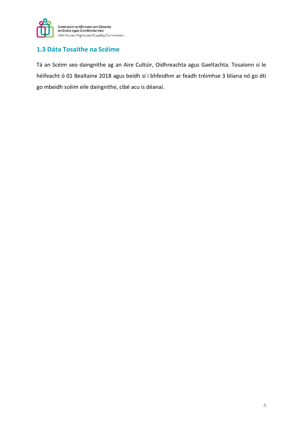

### **1.3 Dáta Tosaithe na Scéime**

Tá an Scéim seo daingnithe ag an Aire Cultúir, Oidhreachta agus Gaeltachta. Tosaíonn sí le héifeacht ó 01 Bealtaine 2018 agus beidh sí i bhfeidhm ar feadh tréimhse 3 bliana nó go dtí go mbeidh scéim eile daingnithe, cibé acu is déanaí.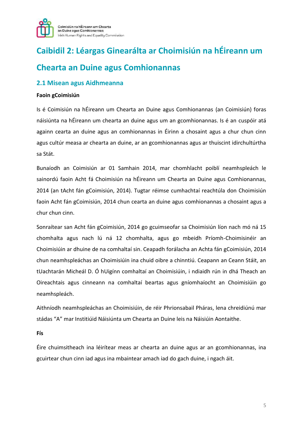

# **Caibidil 2: Léargas Ginearálta ar Choimisiún na hÉireann um Chearta an Duine agus Comhionannas**

#### **2.1 Misean agus Aidhmeanna**

#### **Faoin gCoimisiún**

Is é Coimisiún na hÉireann um Chearta an Duine agus Comhionannas (an Coimisiún) foras náisiúnta na hÉireann um chearta an duine agus um an gcomhionannas. Is é an cuspóir atá againn cearta an duine agus an comhionannas in Éirinn a chosaint agus a chur chun cinn agus cultúr measa ar chearta an duine, ar an gcomhionannas agus ar thuiscint idirchultúrtha sa Stát.

Bunaíodh an Coimisiún ar 01 Samhain 2014, mar chomhlacht poiblí neamhspleách le sainordú faoin Acht fá Choimisiún na hÉireann um Chearta an Duine agus Comhionannas, 2014 (an tAcht fán gCoimisiún, 2014). Tugtar réimse cumhachtaí reachtúla don Choimisiún faoin Acht fán gCoimisiún, 2014 chun cearta an duine agus comhionannas a chosaint agus a chur chun cinn.

Sonraítear san Acht fán gCoimisiún, 2014 go gcuimseofar sa Choimisiún líon nach mó ná 15 chomhalta agus nach lú ná 12 chomhalta, agus go mbeidh Príomh-Choimisinéir an Choimisiúin ar dhuine de na comhaltaí sin. Ceapadh forálacha an Achta fán gCoimisiún, 2014 chun neamhspleáchas an Choimisiúin ina chuid oibre a chinntiú. Ceapann an Ceann Stáit, an tUachtarán Micheál D. Ó hUigínn comhaltaí an Choimisiúin, i ndiaidh rún in dhá Theach an Oireachtais agus cinneann na comhaltaí beartas agus gníomhaíocht an Choimisiúin go neamhspleách.

Aithníodh neamhspleáchas an Choimisiúin, de réir Phrionsabail Pháras, lena chreidiúnú mar stádas "A" mar Institiúid Náisiúnta um Chearta an Duine leis na Náisiúin Aontaithe.

**Fís**

Éire chuimsitheach ina léirítear meas ar chearta an duine agus ar an gcomhionannas, ina gcuirtear chun cinn iad agus ina mbaintear amach iad do gach duine, i ngach áit.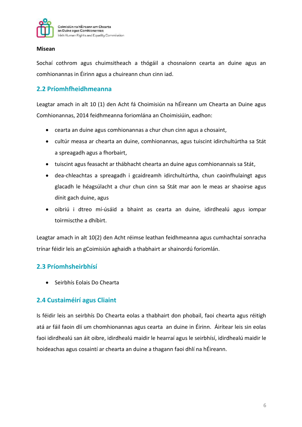

#### **Misean**

Sochaí cothrom agus chuimsitheach a thógáil a chosnaíonn cearta an duine agus an comhionannas in Éirinn agus a chuireann chun cinn iad.

#### **2.2 Príomhfheidhmeanna**

Leagtar amach in alt 10 (1) den Acht fá Choimisiún na hÉireann um Chearta an Duine agus Comhionannas, 2014 feidhmeanna foriomlána an Choimisiúin, eadhon:

- cearta an duine agus comhionannas a chur chun cinn agus a chosaint,
- cultúr measa ar chearta an duine, comhionannas, agus tuiscint idirchultúrtha sa Stát a spreagadh agus a fhorbairt,
- tuiscint agus feasacht ar thábhacht chearta an duine agus comhionannais sa Stát,
- dea-chleachtas a spreagadh i gcaidreamh idirchultúrtha, chun caoinfhulaingt agus glacadh le héagsúlacht a chur chun cinn sa Stát mar aon le meas ar shaoirse agus dínit gach duine, agus
- oibriú i dtreo mí-úsáid a bhaint as cearta an duine, idirdhealú agus iompar toirmiscthe a dhíbirt.

Leagtar amach in alt 10(2) den Acht réimse leathan feidhmeanna agus cumhachtaí sonracha trínar féidir leis an gCoimisiún aghaidh a thabhairt ar shainordú foriomlán.

#### **2.3 Príomhsheirbhísí**

• Seirbhís Eolais Do Chearta

#### **2.4 Custaiméirí agus Cliaint**

Is féidir leis an seirbhís Do Chearta eolas a thabhairt don phobail, faoi chearta agus réitigh atá ar fáil faoin dlí um chomhionannas agus cearta an duine in Éirinn. Áirítear leis sin eolas faoi idirdhealú san áit oibre, idirdhealú maidir le hearraí agus le seirbhísí, idirdhealú maidir le hoideachas agus cosaintí ar chearta an duine a thagann faoi dhlí na hÉireann.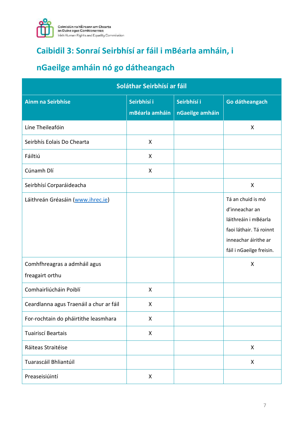

## **Caibidil 3: Sonraí Seirbhísí ar fáil i mBéarla amháin, i**

# **nGaeilge amháin nó go dátheangach**

| Soláthar Seirbhísí ar fáil                      |                               |                                |                                                                                                                                            |
|-------------------------------------------------|-------------------------------|--------------------------------|--------------------------------------------------------------------------------------------------------------------------------------------|
| <b>Ainm na Seirbhíse</b>                        | Seirbhísí i<br>mBéarla amháin | Seirbhísí i<br>nGaeilge amháin | Go dátheangach                                                                                                                             |
| Líne Theileafóin                                |                               |                                | X                                                                                                                                          |
| Seirbhís Eolais Do Chearta                      | X                             |                                |                                                                                                                                            |
| Fáiltiú                                         | X                             |                                |                                                                                                                                            |
| Cúnamh Dlí                                      | X                             |                                |                                                                                                                                            |
| Seirbhísí Corparáideacha                        |                               |                                | X                                                                                                                                          |
| Láithreán Gréasáin (www.ihrec.ie)               |                               |                                | Tá an chuid is mó<br>d'inneachar an<br>láithreáin i mBéarla<br>faoi láthair. Tá roinnt<br>inneachar áirithe ar<br>fáil i nGaeilge freisin. |
| Comhfhreagras a admháil agus<br>freagairt orthu |                               |                                | X                                                                                                                                          |
| Comhairliúcháin Poiblí                          | X                             |                                |                                                                                                                                            |
| Ceardlanna agus Traenáil a chur ar fáil         | X                             |                                |                                                                                                                                            |
| For-rochtain do pháirtithe leasmhara            | X                             |                                |                                                                                                                                            |
| Tuairiscí Beartais                              | X                             |                                |                                                                                                                                            |
| Ráiteas Straitéise                              |                               |                                | X                                                                                                                                          |
| Tuarascáil Bhliantúil                           |                               |                                | X                                                                                                                                          |
| Preaseisiúintí                                  | X                             |                                |                                                                                                                                            |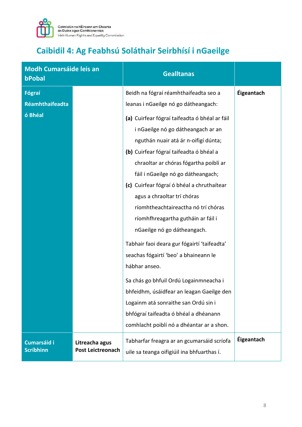

# **Caibidil 4: Ag Feabhsú Soláthair Seirbhísí i nGaeilge**

| <b>Modh Cumarsáide leis an</b><br>bPobal |                                            | <b>Gealltanas</b>                                                                                                                                                                                                                                                                                                                                                                                                                                                                                                                                                                                                                               |                   |
|------------------------------------------|--------------------------------------------|-------------------------------------------------------------------------------------------------------------------------------------------------------------------------------------------------------------------------------------------------------------------------------------------------------------------------------------------------------------------------------------------------------------------------------------------------------------------------------------------------------------------------------------------------------------------------------------------------------------------------------------------------|-------------------|
| Fógraí<br><b>Réamhthaifeadta</b>         |                                            | Beidh na fógraí réamhthaifeadta seo a<br>leanas i nGaeilge nó go dátheangach:                                                                                                                                                                                                                                                                                                                                                                                                                                                                                                                                                                   | <b>Éigeantach</b> |
| ó Bhéal                                  |                                            | (a) Cuirfear fógraí taifeadta ó bhéal ar fáil<br>i nGaeilge nó go dátheangach ar an<br>nguthán nuair atá ár n-oifigí dúnta;<br>(b) Cuirfear fógraí taifeadta ó bhéal a<br>chraoltar ar chóras fógartha poiblí ar<br>fáil i nGaeilge nó go dátheangach;<br>(c) Cuirfear fógraí ó bhéal a chruthaítear<br>agus a chraoltar trí chóras<br>ríomhtheachtaireactha nó trí chóras<br>ríomhfhreagartha gutháin ar fáil i<br>nGaeilge nó go dátheangach.<br>Tabhair faoi deara gur fógairtí 'taifeadta'<br>seachas fógairtí 'beo' a bhaineann le<br>hábhar anseo.<br>Sa chás go bhfuil Ordú Logainmneacha i<br>bhfeidhm, úsáidfear an leagan Gaeilge den |                   |
|                                          |                                            | Logainm atá sonraithe san Ordú sin i<br>bhfógraí taifeadta ó bhéal a dhéanann<br>comhlacht poiblí nó a dhéantar ar a shon.                                                                                                                                                                                                                                                                                                                                                                                                                                                                                                                      |                   |
| <b>Cumarsáid i</b><br><b>Scríbhinn</b>   | Litreacha agus<br><b>Post Leictreonach</b> | Tabharfar freagra ar an gcumarsáid scríofa<br>uile sa teanga oifigiúil ina bhfuarthas í.                                                                                                                                                                                                                                                                                                                                                                                                                                                                                                                                                        | Éigeantach        |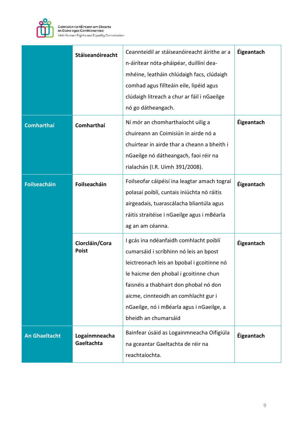

|                      | Stáiseanóireacht               | Ceannteidil ar stáiseanóireacht áirithe ar a<br>n-áirítear nóta-pháipéar, duillíní dea-<br>mhéine, leatháin chlúdaigh facs, clúdaigh<br>comhad agus fillteáin eile, lipéid agus<br>clúdaigh litreach a chur ar fáil i nGaeilge<br>nó go dátheangach.                                                                           | Éigeantach |
|----------------------|--------------------------------|--------------------------------------------------------------------------------------------------------------------------------------------------------------------------------------------------------------------------------------------------------------------------------------------------------------------------------|------------|
| <b>Comharthaí</b>    | Comharthaí                     | Ní mór an chomharthaíocht uilig a<br>chuireann an Coimisiún in airde nó a<br>chuirtear in airde thar a cheann a bheith i<br>nGaeilge nó dátheangach, faoi réir na<br>rialachán (I.R. Uimh 391/2008).                                                                                                                           | Éigeantach |
| Foilseacháin         | Foilseacháin                   | Foilseofar cáipéisí ina leagtar amach tograí<br>polasaí poiblí, cuntais iniúchta nó ráitis<br>airgeadais, tuarascálacha bliantúla agus<br>ráitis straitéise i nGaeilge agus i mBéarla<br>ag an am céanna.                                                                                                                      | Éigeantach |
|                      | Ciorcláin/Cora<br><b>Poist</b> | I gcás ina ndéanfaidh comhlacht poiblí<br>cumarsáid i scríbhinn nó leis an bpost<br>leictreonach leis an bpobal i gcoitinne nó<br>le haicme den phobal i gcoitinne chun<br>faisnéis a thabhairt don phobal nó don<br>aicme, cinnteoidh an comhlacht gur i<br>nGaeilge, nó i mBéarla agus i nGaeilge, a<br>bheidh an chumarsáid | Éigeantach |
| <b>An Ghaeltacht</b> | Logainmneacha<br>Gaeltachta    | Bainfear úsáid as Logainmneacha Oifigiúla<br>na gceantar Gaeltachta de réir na<br>reachtaíochta.                                                                                                                                                                                                                               | Éigeantach |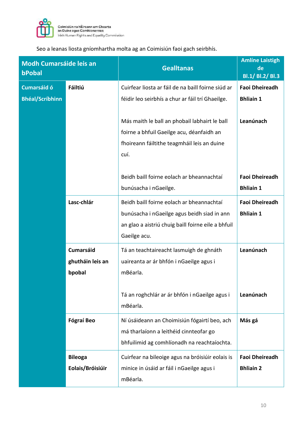

Seo a leanas liosta gníomhartha molta ag an Coimisiún faoi gach seirbhís.

| <b>Modh Cumarsáide leis an</b><br>bPobal |                                                | <b>Gealltanas</b>                                                                                                                                              | <b>Amlíne Laistigh</b><br>de<br>Bl.1/ Bl.2/ Bl.3 |
|------------------------------------------|------------------------------------------------|----------------------------------------------------------------------------------------------------------------------------------------------------------------|--------------------------------------------------|
| <b>Cumarsáid ó</b>                       | <b>Fáiltiú</b>                                 | Cuirfear liosta ar fáil de na baill foirne siúd ar                                                                                                             | <b>Faoi Dheireadh</b>                            |
| <b>Bhéal/Scríbhinn</b>                   |                                                | féidir leo seirbhís a chur ar fáil trí Ghaeilge.                                                                                                               | <b>Bhliain 1</b>                                 |
|                                          |                                                | Más maith le ball an phobail labhairt le ball<br>foirne a bhfuil Gaeilge acu, déanfaidh an<br>fhoireann fáiltithe teagmháil leis an duine<br>cuí.              | Leanúnach                                        |
|                                          |                                                | Beidh baill foirne eolach ar bheannachtaí<br>bunúsacha i nGaeilge.                                                                                             | <b>Faoi Dheireadh</b><br><b>Bhliain 1</b>        |
|                                          | Lasc-chlár                                     | Beidh baill foirne eolach ar bheannachtaí<br>bunúsacha i nGaeilge agus beidh siad in ann<br>an glao a aistriú chuig baill foirne eile a bhfuil<br>Gaeilge acu. | <b>Faoi Dheireadh</b><br><b>Bhliain 1</b>        |
|                                          | <b>Cumarsáid</b><br>ghutháin leis an<br>bpobal | Tá an teachtaireacht lasmuigh de ghnáth<br>uaireanta ar ár bhfón i nGaeilge agus i<br>mBéarla.                                                                 | Leanúnach                                        |
|                                          |                                                | Tá an roghchlár ar ár bhfón i nGaeilge agus i<br>mBéarla.                                                                                                      | Leanúnach                                        |
|                                          | <b>Fógraí Beo</b>                              | Ní úsáideann an Choimisiún fógairtí beo, ach<br>má tharlaíonn a leithéid cinnteofar go<br>bhfuilimid ag comhlíonadh na reachtaíochta.                          | Más gá                                           |
|                                          | <b>Bileoga</b><br>Eolais/Bróisiúir             | Cuirfear na bileoige agus na bróisiúir eolais is<br>minice in úsáid ar fáil i nGaeilge agus i<br>mBéarla.                                                      | <b>Faoi Dheireadh</b><br><b>Bhliain 2</b>        |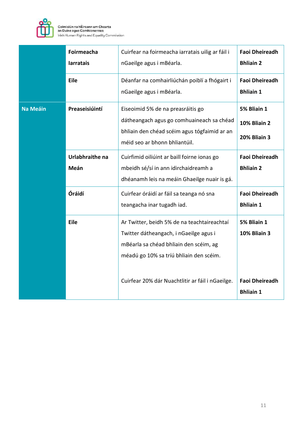

|                 | Foirmeacha<br><b>larratais</b> | Cuirfear na foirmeacha iarratais uilig ar fáil i<br>nGaeilge agus i mBéarla.                                                                                                                                                   | <b>Faoi Dheireadh</b><br><b>Bhliain 2</b>                                       |
|-----------------|--------------------------------|--------------------------------------------------------------------------------------------------------------------------------------------------------------------------------------------------------------------------------|---------------------------------------------------------------------------------|
|                 | Eile                           | Déanfar na comhairliúchán poiblí a fhógairt i<br>nGaeilge agus i mBéarla.                                                                                                                                                      | <b>Faoi Dheireadh</b><br><b>Bhliain 1</b>                                       |
| <b>Na Meáin</b> | Preaseisiúintí                 | Eiseoimid 5% de na preasráitis go<br>dátheangach agus go comhuaineach sa chéad<br>bhliain den chéad scéim agus tógfaimid ar an<br>méid seo ar bhonn bhliantúil.                                                                | 5% Bliain 1<br><b>10% Bliain 2</b><br><b>20% Bliain 3</b>                       |
|                 | Urlabhraithe na<br>Meán        | Cuirfimid oiliúint ar baill foirne ionas go<br>mbeidh sé/sí in ann idirchaidreamh a<br>dhéanamh leis na meáin Ghaeilge nuair is gá.                                                                                            | <b>Faoi Dheireadh</b><br><b>Bhliain 2</b>                                       |
|                 | Óráidí                         | Cuirfear óráidí ar fáil sa teanga nó sna<br>teangacha inar tugadh iad.                                                                                                                                                         | <b>Faoi Dheireadh</b><br><b>Bhliain 1</b>                                       |
|                 | <b>Eile</b>                    | Ar Twitter, beidh 5% de na teachtaireachtaí<br>Twitter dátheangach, i nGaeilge agus i<br>mBéarla sa chéad bhliain den scéim, ag<br>méadú go 10% sa tríú bhliain den scéim.<br>Cuirfear 20% dár Nuachtlitir ar fáil i nGaeilge. | 5% Bliain 1<br><b>10% Bliain 3</b><br><b>Faoi Dheireadh</b><br><b>Bhliain 1</b> |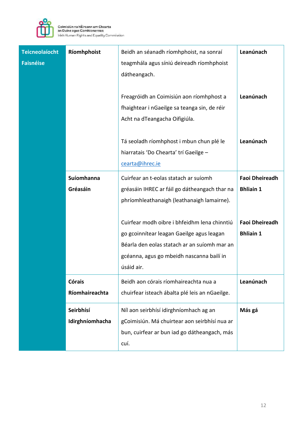

| <b>Teicneolaíocht</b><br><b>Faisnéise</b> | Ríomhphoist                     | Beidh an séanadh ríomhphoist, na sonraí<br>teagmhála agus síniú deireadh ríomhphoist<br>dátheangach.<br>Freagróidh an Coimisiún aon ríomhphost a<br>fhaightear i nGaeilge sa teanga sin, de réir<br>Acht na dTeangacha Oifigiúla.                                                                                              | Leanúnach<br>Leanúnach                                                                 |
|-------------------------------------------|---------------------------------|--------------------------------------------------------------------------------------------------------------------------------------------------------------------------------------------------------------------------------------------------------------------------------------------------------------------------------|----------------------------------------------------------------------------------------|
|                                           |                                 | Tá seoladh ríomhphost i mbun chun plé le<br>hiarratais 'Do Chearta' trí Gaeilge -<br>cearta@ihrec.ie                                                                                                                                                                                                                           | Leanúnach                                                                              |
|                                           | Suíomhanna<br>Gréasáin          | Cuirfear an t-eolas statach ar suíomh<br>gréasáin IHREC ar fáil go dátheangach thar na<br>phríomhleathanaigh (leathanaigh lamairne).<br>Cuirfear modh oibre i bhfeidhm lena chinntiú<br>go gcoinnítear leagan Gaeilge agus leagan<br>Béarla den eolas statach ar an suíomh mar an<br>gcéanna, agus go mbeidh nascanna bailí in | <b>Faoi Dheireadh</b><br><b>Bhliain 1</b><br><b>Faoi Dheireadh</b><br><b>Bhliain 1</b> |
|                                           | <b>Córais</b><br>Ríomhaireachta | úsáid air.<br>Beidh aon córais ríomhaireachta nua a<br>chuirfear isteach ábalta plé leis an nGaeilge.                                                                                                                                                                                                                          | Leanúnach                                                                              |
|                                           | Seirbhísí<br>Idirghníomhacha    | Níl aon seirbhísí idirghníomhach ag an<br>gCoimisiún. Má chuirtear aon seirbhísí nua ar<br>bun, cuirfear ar bun iad go dátheangach, más<br>cuí.                                                                                                                                                                                | Más gá                                                                                 |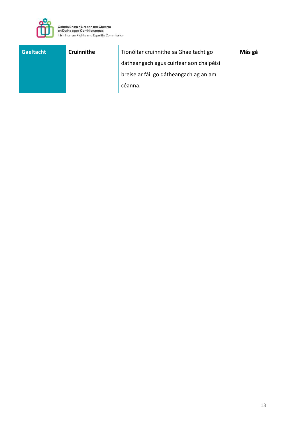

| <b>Gaeltacht</b> | Cruinnithe | Tionóltar cruinnithe sa Ghaeltacht go   | Más gá |
|------------------|------------|-----------------------------------------|--------|
|                  |            | dátheangach agus cuirfear aon cháipéisí |        |
|                  |            | breise ar fáil go dátheangach ag an am  |        |
|                  |            | céanna.                                 |        |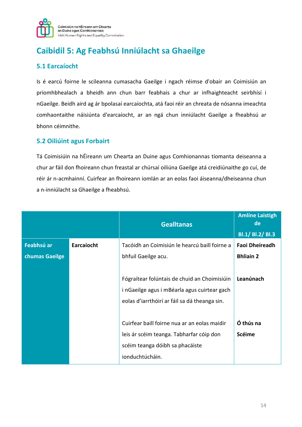

# **Caibidil 5: Ag Feabhsú Inniúlacht sa Ghaeilge**

### **5.1 Earcaíocht**

Is é earcú foirne le scileanna cumasacha Gaeilge i ngach réimse d'obair an Coimisiún an príomhbhealach a bheidh ann chun barr feabhais a chur ar infhaighteacht seirbhísí i nGaeilge. Beidh aird ag ár bpolasaí earcaíochta, atá faoi réir an chreata de nósanna imeachta comhaontaithe náisiúnta d'earcaíocht, ar an ngá chun inniúlacht Gaeilge a fheabhsú ar bhonn céimnithe.

#### **5.2 Oiliúint agus Forbairt**

Tá Coimisiúin na hÉireann um Chearta an Duine agus Comhionannas tiomanta deiseanna a chur ar fáil don fhoireann chun freastal ar chúrsaí oiliúna Gaeilge atá creidiúnaithe go cuí, de réir ár n-acmhainní. Cuirfear an fhoireann iomlán ar an eolas faoi áiseanna/dheiseanna chun a n-inniúlacht sa Ghaeilge a fheabhsú.

|                |            | <b>Gealltanas</b>                             | <b>Amlíne Laistigh</b><br>de |
|----------------|------------|-----------------------------------------------|------------------------------|
|                |            |                                               | Bl.1/ Bl.2/ Bl.3             |
| Feabhsú ar     | Earcaíocht | Tacóidh an Coimisiún le hearcú baill foirne a | <b>Faoi Dheireadh</b>        |
| chumas Gaeilge |            | bhfuil Gaeilge acu.                           | <b>Bhliain 2</b>             |
|                |            |                                               |                              |
|                |            | Fógraítear folúntais de chuid an Choimisiúin  | Leanúnach                    |
|                |            | i nGaeilge agus i mBéarla agus cuirtear gach  |                              |
|                |            | eolas d'iarrthóirí ar fáil sa dá theanga sin. |                              |
|                |            |                                               |                              |
|                |            | Cuirfear baill foirne nua ar an eolas maidir  | Ó thús na                    |
|                |            | leis ár scéim teanga. Tabharfar cóip don      | <b>Scéime</b>                |
|                |            | scéim teanga dóibh sa phacáiste               |                              |
|                |            | ionduchtúcháin.                               |                              |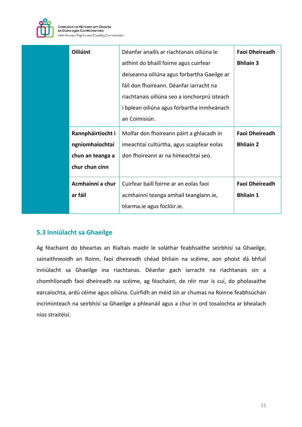

| Oiliúint                                                                   | Déanfar anailís ar riachtanais oiliúna le<br>aithint do bhaill foirne agus cuirfear                                                                                                                   | <b>Faoi Dheireadh</b><br><b>Bhliain 3</b> |
|----------------------------------------------------------------------------|-------------------------------------------------------------------------------------------------------------------------------------------------------------------------------------------------------|-------------------------------------------|
|                                                                            | deiseanna oiliúna agus forbartha Gaeilge ar<br>fáil don fhoireann. Déanfar iarracht na<br>riachtanais oiliúna seo a ionchorprú isteach<br>i bplean oiliúna agus forbartha inmheánach<br>an Coimisiún. |                                           |
| Rannpháirtíocht i<br>ngníomhaíochtaí<br>chun an teanga a<br>chur chun cinn | Molfar don fhoireann páirt a ghlacadh in<br>imeachtaí cultúrtha, agus scaipfear eolas<br>don fhoireann ar na himeachtaí seo.                                                                          | <b>Faoi Dheireadh</b><br><b>Bhliain 2</b> |
| Acmhainní a chur<br>ar fáil                                                | Cuirfear baill foirne ar an eolas faoi<br>acmhainní teanga amhail teanglann.ie,<br>téarma.ie agus foclóir.ie.                                                                                         | <b>Faoi Dheireadh</b><br><b>Bhliain 1</b> |

### **5.3 Inniúlacht sa Ghaeilge**

Ag féachaint do bheartas an Rialtais maidir le soláthar feabhsaithe seirbhísí sa Ghaeilge, sainaithneoidh an Roinn, faoi dheireadh chéad bhliain na scéime, aon phoist dá bhfuil inniúlacht sa Ghaeilge ina riachtanas. Déanfar gach iarracht na riachtanais sin a chomhlíonadh faoi dheireadh na scéime, ag féachaint, de réir mar is cuí, do pholasaithe earcaíochta, ardú céime agus oiliúna. Cuirfidh an méid sin ar chumas na Roinne feabhsúchán incriminteach na seirbhísí sa Ghaeilge a phleanáil agus a chur in ord tosaíochta ar bhealach níos straitéisí.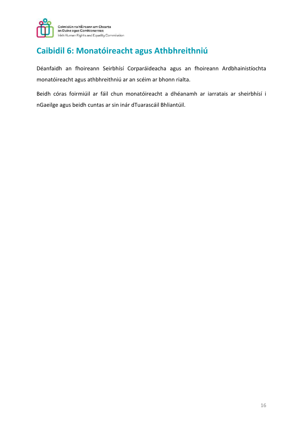

### **Caibidil 6: Monatóireacht agus Athbhreithniú**

Déanfaidh an fhoireann Seirbhísí Corparáideacha agus an fhoireann Ardbhainistíochta monatóireacht agus athbhreithniú ar an scéim ar bhonn rialta.

Beidh córas foirmiúil ar fáil chun monatóireacht a dhéanamh ar iarratais ar sheirbhísí i nGaeilge agus beidh cuntas ar sin inár dTuarascáil Bhliantúil.